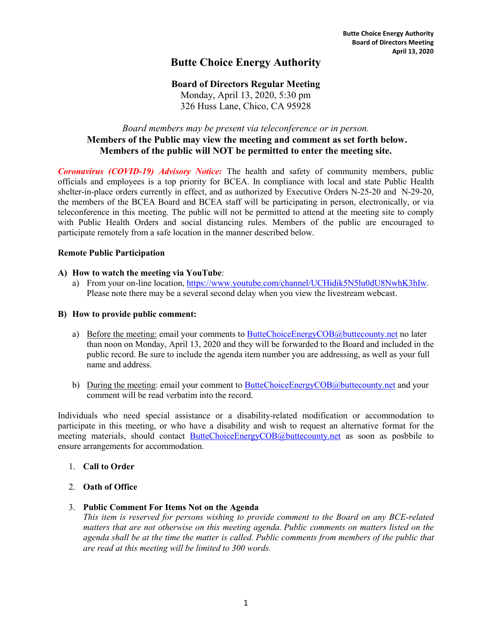# **Butte Choice Energy Authority**

# **Board of Directors Regular Meeting**

Monday, April 13, 2020, 5:30 pm 326 Huss Lane, Chico, CA 95928

# *Board members may be present via teleconference or in person.* **Members of the Public may view the meeting and comment as set forth below. Members of the public will NOT be permitted to enter the meeting site.**

*Coronavirus (COVID-19) Advisory Notice:* The health and safety of community members, public officials and employees is a top priority for BCEA. In compliance with local and state Public Health shelter-in-place orders currently in effect, and as authorized by Executive Orders N-25-20 and N-29-20, the members of the BCEA Board and BCEA staff will be participating in person, electronically, or via teleconference in this meeting. The public will not be permitted to attend at the meeting site to comply with Public Health Orders and social distancing rules. Members of the public are encouraged to participate remotely from a safe location in the manner described below.

#### **Remote Public Participation**

#### **A) How to watch the meeting via YouTube**:

a) From your on-line location, [https://www.youtube.com/channel/UCHidik5N5lu0dU8NwhK3hIw.](https://www.youtube.com/channel/UCHidik5N5lu0dU8NwhK3hIw) Please note there may be a several second delay when you view the livestream webcast.

#### **B) How to provide public comment:**

- a) Before the meeting: email your comments to [ButteChoiceEnergyCOB@buttecounty.net](mailto:ButteChoiceEnergyCOB@buttecounty.net) no later than noon on Monday, April 13, 2020 and they will be forwarded to the Board and included in the public record. Be sure to include the agenda item number you are addressing, as well as your full name and address.
- b) During the meeting: email your comment to [ButteChoiceEnergyCOB@buttecounty.net](mailto:ButteChoiceEnergyCOB@buttecounty.net) and your comment will be read verbatim into the record.

Individuals who need special assistance or a disability-related modification or accommodation to participate in this meeting, or who have a disability and wish to request an alternative format for the meeting materials, should contact [ButteChoiceEnergyCOB@buttecounty.net](mailto:ButteChoiceEnergyCOB@buttecounty.net) as soon as posbbile to ensure arrangements for accommodation.

#### 1. **Call to Order**

- 2. **Oath of Office**
- 3. **Public Comment For Items Not on the Agenda**

*This item is reserved for persons wishing to provide comment to the Board on any BCE-related matters that are not otherwise on this meeting agenda. Public comments on matters listed on the agenda shall be at the time the matter is called. Public comments from members of the public that are read at this meeting will be limited to 300 words.*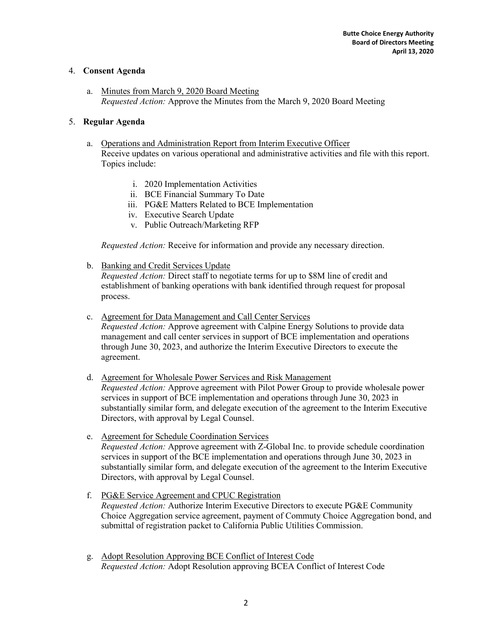## 4. **Consent Agenda**

a. Minutes from March 9, 2020 Board Meeting *Requested Action:* Approve the Minutes from the March 9, 2020 Board Meeting

# 5. **Regular Agenda**

- a. Operations and Administration Report from Interim Executive Officer Receive updates on various operational and administrative activities and file with this report. Topics include:
	- i. 2020 Implementation Activities
	- ii. BCE Financial Summary To Date
	- iii. PG&E Matters Related to BCE Implementation
	- iv. Executive Search Update
	- v. Public Outreach/Marketing RFP

*Requested Action:* Receive for information and provide any necessary direction.

b. Banking and Credit Services Update

*Requested Action:* Direct staff to negotiate terms for up to \$8M line of credit and establishment of banking operations with bank identified through request for proposal process.

c. Agreement for Data Management and Call Center Services

*Requested Action:* Approve agreement with Calpine Energy Solutions to provide data management and call center services in support of BCE implementation and operations through June 30, 2023, and authorize the Interim Executive Directors to execute the agreement.

- d. Agreement for Wholesale Power Services and Risk Management *Requested Action:* Approve agreement with Pilot Power Group to provide wholesale power services in support of BCE implementation and operations through June 30, 2023 in substantially similar form, and delegate execution of the agreement to the Interim Executive Directors, with approval by Legal Counsel.
- e. Agreement for Schedule Coordination Services *Requested Action:* Approve agreement with Z-Global Inc. to provide schedule coordination services in support of the BCE implementation and operations through June 30, 2023 in substantially similar form, and delegate execution of the agreement to the Interim Executive Directors, with approval by Legal Counsel.
- f. PG&E Service Agreement and CPUC Registration *Requested Action:* Authorize Interim Executive Directors to execute PG&E Community Choice Aggregation service agreement, payment of Commuty Choice Aggregation bond, and submittal of registration packet to California Public Utilities Commission.
- g. Adopt Resolution Approving BCE Conflict of Interest Code *Requested Action:* Adopt Resolution approving BCEA Conflict of Interest Code